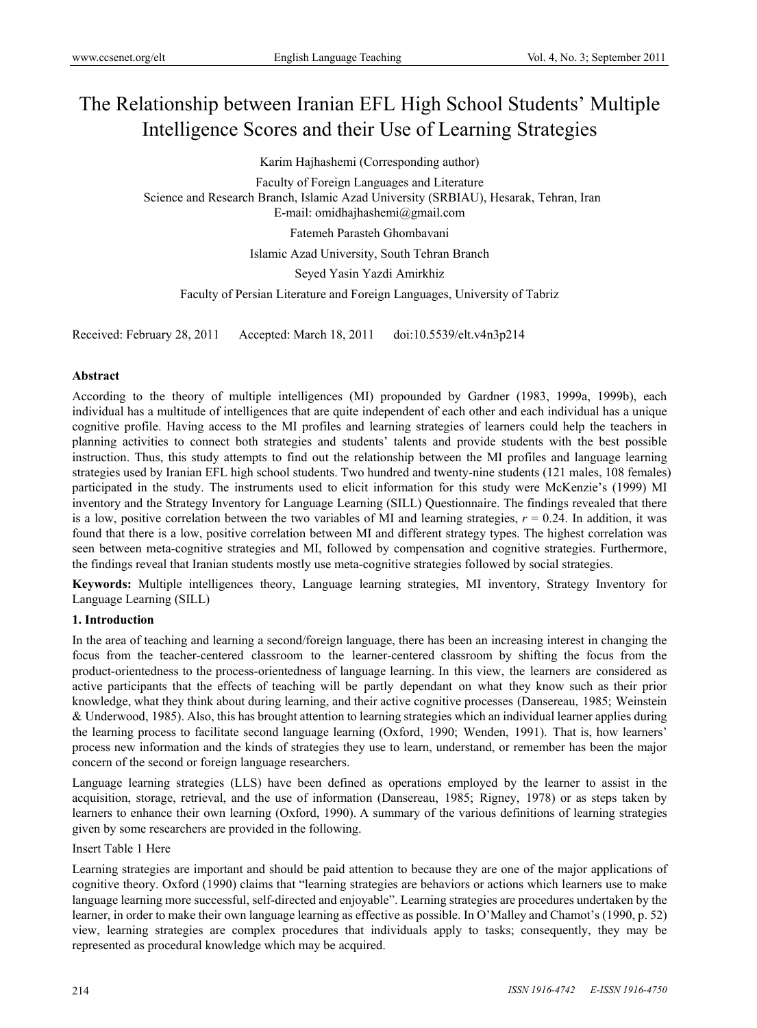# The Relationship between Iranian EFL High School Students' Multiple Intelligence Scores and their Use of Learning Strategies

Karim Hajhashemi (Corresponding author)

Faculty of Foreign Languages and Literature Science and Research Branch, Islamic Azad University (SRBIAU), Hesarak, Tehran, Iran E-mail: omidhajhashemi@gmail.com

Fatemeh Parasteh Ghombavani

Islamic Azad University, South Tehran Branch

Seyed Yasin Yazdi Amirkhiz

Faculty of Persian Literature and Foreign Languages, University of Tabriz

Received: February 28, 2011 Accepted: March 18, 2011 doi:10.5539/elt.v4n3p214

## **Abstract**

According to the theory of multiple intelligences (MI) propounded by Gardner (1983, 1999a, 1999b), each individual has a multitude of intelligences that are quite independent of each other and each individual has a unique cognitive profile. Having access to the MI profiles and learning strategies of learners could help the teachers in planning activities to connect both strategies and students' talents and provide students with the best possible instruction. Thus, this study attempts to find out the relationship between the MI profiles and language learning strategies used by Iranian EFL high school students. Two hundred and twenty-nine students (121 males, 108 females) participated in the study. The instruments used to elicit information for this study were McKenzie's (1999) MI inventory and the Strategy Inventory for Language Learning (SILL) Questionnaire. The findings revealed that there is a low, positive correlation between the two variables of MI and learning strategies,  $r = 0.24$ . In addition, it was found that there is a low, positive correlation between MI and different strategy types. The highest correlation was seen between meta-cognitive strategies and MI, followed by compensation and cognitive strategies. Furthermore, the findings reveal that Iranian students mostly use meta-cognitive strategies followed by social strategies.

**Keywords:** Multiple intelligences theory, Language learning strategies, MI inventory, Strategy Inventory for Language Learning (SILL)

#### **1. Introduction**

In the area of teaching and learning a second/foreign language, there has been an increasing interest in changing the focus from the teacher-centered classroom to the learner-centered classroom by shifting the focus from the product-orientedness to the process-orientedness of language learning. In this view, the learners are considered as active participants that the effects of teaching will be partly dependant on what they know such as their prior knowledge, what they think about during learning, and their active cognitive processes (Dansereau, 1985; Weinstein & Underwood, 1985). Also, this has brought attention to learning strategies which an individual learner applies during the learning process to facilitate second language learning (Oxford, 1990; Wenden, 1991). That is, how learners' process new information and the kinds of strategies they use to learn, understand, or remember has been the major concern of the second or foreign language researchers.

Language learning strategies (LLS) have been defined as operations employed by the learner to assist in the acquisition, storage, retrieval, and the use of information (Dansereau, 1985; Rigney, 1978) or as steps taken by learners to enhance their own learning (Oxford, 1990). A summary of the various definitions of learning strategies given by some researchers are provided in the following.

#### Insert Table 1 Here

Learning strategies are important and should be paid attention to because they are one of the major applications of cognitive theory. Oxford (1990) claims that "learning strategies are behaviors or actions which learners use to make language learning more successful, self-directed and enjoyable". Learning strategies are procedures undertaken by the learner, in order to make their own language learning as effective as possible. In O'Malley and Chamot's (1990, p. 52) view, learning strategies are complex procedures that individuals apply to tasks; consequently, they may be represented as procedural knowledge which may be acquired.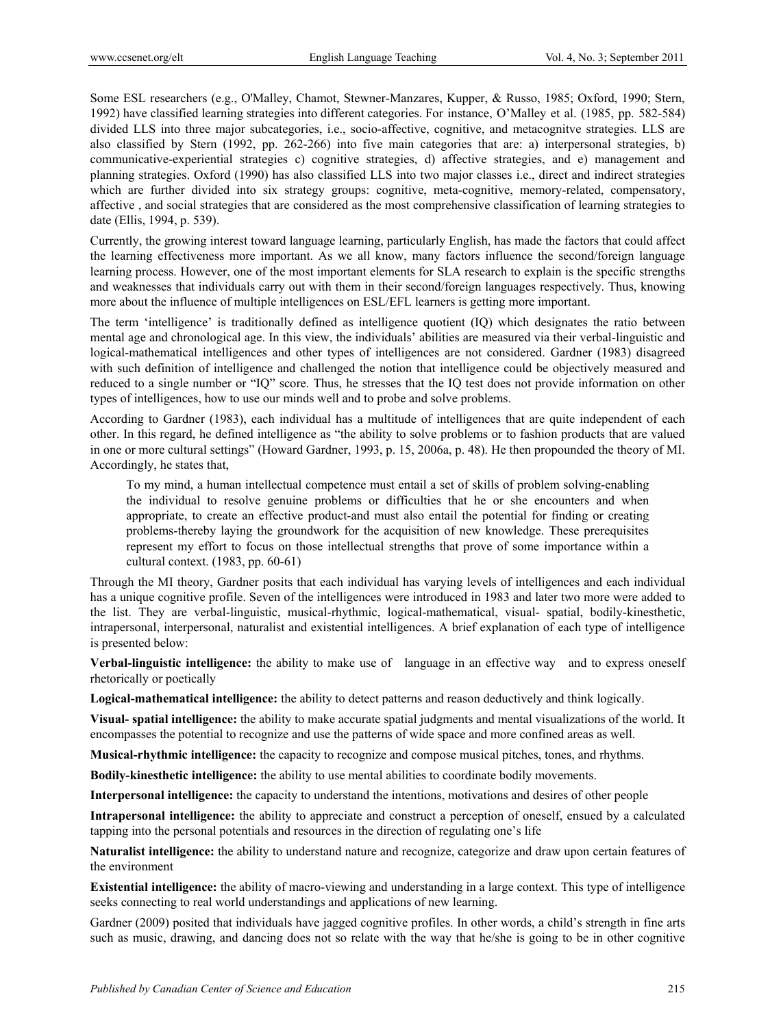Some ESL researchers (e.g., O'Malley, Chamot, Stewner-Manzares, Kupper, & Russo, 1985; Oxford, 1990; Stern, 1992) have classified learning strategies into different categories. For instance, O'Malley et al. (1985, pp. 582-584) divided LLS into three major subcategories, i.e., socio-affective, cognitive, and metacognitve strategies. LLS are also classified by Stern (1992, pp. 262-266) into five main categories that are: a) interpersonal strategies, b) communicative-experiential strategies c) cognitive strategies, d) affective strategies, and e) management and planning strategies. Oxford (1990) has also classified LLS into two major classes i.e., direct and indirect strategies which are further divided into six strategy groups: cognitive, meta-cognitive, memory-related, compensatory, affective , and social strategies that are considered as the most comprehensive classification of learning strategies to date (Ellis, 1994, p. 539).

Currently, the growing interest toward language learning, particularly English, has made the factors that could affect the learning effectiveness more important. As we all know, many factors influence the second/foreign language learning process. However, one of the most important elements for SLA research to explain is the specific strengths and weaknesses that individuals carry out with them in their second/foreign languages respectively. Thus, knowing more about the influence of multiple intelligences on ESL/EFL learners is getting more important.

The term 'intelligence' is traditionally defined as intelligence quotient (IQ) which designates the ratio between mental age and chronological age. In this view, the individuals' abilities are measured via their verbal-linguistic and logical-mathematical intelligences and other types of intelligences are not considered. Gardner (1983) disagreed with such definition of intelligence and challenged the notion that intelligence could be objectively measured and reduced to a single number or "IQ" score. Thus, he stresses that the IQ test does not provide information on other types of intelligences, how to use our minds well and to probe and solve problems.

According to Gardner (1983), each individual has a multitude of intelligences that are quite independent of each other. In this regard, he defined intelligence as "the ability to solve problems or to fashion products that are valued in one or more cultural settings" (Howard Gardner, 1993, p. 15, 2006a, p. 48). He then propounded the theory of MI. Accordingly, he states that,

To my mind, a human intellectual competence must entail a set of skills of problem solving-enabling the individual to resolve genuine problems or difficulties that he or she encounters and when appropriate, to create an effective product-and must also entail the potential for finding or creating problems-thereby laying the groundwork for the acquisition of new knowledge. These prerequisites represent my effort to focus on those intellectual strengths that prove of some importance within a cultural context. (1983, pp. 60-61)

Through the MI theory, Gardner posits that each individual has varying levels of intelligences and each individual has a unique cognitive profile. Seven of the intelligences were introduced in 1983 and later two more were added to the list. They are verbal-linguistic, musical-rhythmic, logical-mathematical, visual- spatial, bodily-kinesthetic, intrapersonal, interpersonal, naturalist and existential intelligences. A brief explanation of each type of intelligence is presented below:

**Verbal-linguistic intelligence:** the ability to make use of language in an effective way and to express oneself rhetorically or poetically

**Logical-mathematical intelligence:** the ability to detect patterns and reason deductively and think logically.

**Visual- spatial intelligence:** the ability to make accurate spatial judgments and mental visualizations of the world. It encompasses the potential to recognize and use the patterns of wide space and more confined areas as well.

**Musical-rhythmic intelligence:** the capacity to recognize and compose musical pitches, tones, and rhythms.

**Bodily-kinesthetic intelligence:** the ability to use mental abilities to coordinate bodily movements.

**Interpersonal intelligence:** the capacity to understand the intentions, motivations and desires of other people

**Intrapersonal intelligence:** the ability to appreciate and construct a perception of oneself, ensued by a calculated tapping into the personal potentials and resources in the direction of regulating one's life

**Naturalist intelligence:** the ability to understand nature and recognize, categorize and draw upon certain features of the environment

**Existential intelligence:** the ability of macro-viewing and understanding in a large context. This type of intelligence seeks connecting to real world understandings and applications of new learning.

Gardner (2009) posited that individuals have jagged cognitive profiles. In other words, a child's strength in fine arts such as music, drawing, and dancing does not so relate with the way that he/she is going to be in other cognitive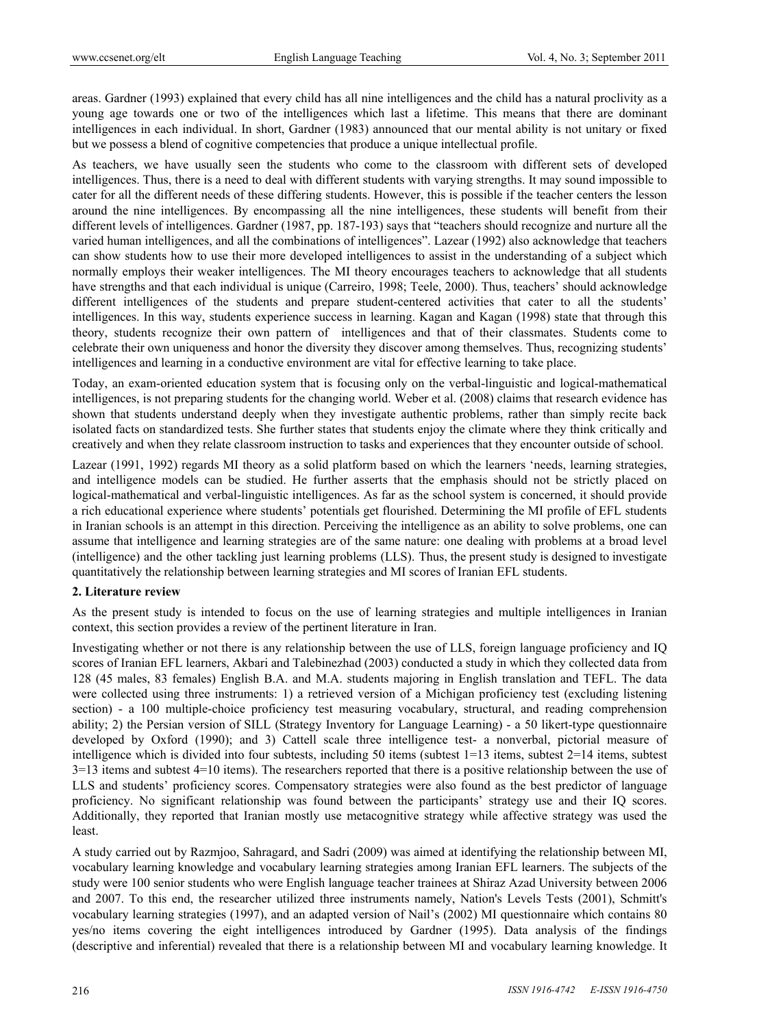areas. Gardner (1993) explained that every child has all nine intelligences and the child has a natural proclivity as a young age towards one or two of the intelligences which last a lifetime. This means that there are dominant intelligences in each individual. In short, Gardner (1983) announced that our mental ability is not unitary or fixed but we possess a blend of cognitive competencies that produce a unique intellectual profile.

As teachers, we have usually seen the students who come to the classroom with different sets of developed intelligences. Thus, there is a need to deal with different students with varying strengths. It may sound impossible to cater for all the different needs of these differing students. However, this is possible if the teacher centers the lesson around the nine intelligences. By encompassing all the nine intelligences, these students will benefit from their different levels of intelligences. Gardner (1987, pp. 187-193) says that "teachers should recognize and nurture all the varied human intelligences, and all the combinations of intelligences". Lazear (1992) also acknowledge that teachers can show students how to use their more developed intelligences to assist in the understanding of a subject which normally employs their weaker intelligences. The MI theory encourages teachers to acknowledge that all students have strengths and that each individual is unique (Carreiro, 1998; Teele, 2000). Thus, teachers' should acknowledge different intelligences of the students and prepare student-centered activities that cater to all the students' intelligences. In this way, students experience success in learning. Kagan and Kagan (1998) state that through this theory, students recognize their own pattern of intelligences and that of their classmates. Students come to celebrate their own uniqueness and honor the diversity they discover among themselves. Thus, recognizing students' intelligences and learning in a conductive environment are vital for effective learning to take place.

Today, an exam-oriented education system that is focusing only on the verbal-linguistic and logical-mathematical intelligences, is not preparing students for the changing world. Weber et al. (2008) claims that research evidence has shown that students understand deeply when they investigate authentic problems, rather than simply recite back isolated facts on standardized tests. She further states that students enjoy the climate where they think critically and creatively and when they relate classroom instruction to tasks and experiences that they encounter outside of school.

Lazear (1991, 1992) regards MI theory as a solid platform based on which the learners 'needs, learning strategies, and intelligence models can be studied. He further asserts that the emphasis should not be strictly placed on logical-mathematical and verbal-linguistic intelligences. As far as the school system is concerned, it should provide a rich educational experience where students' potentials get flourished. Determining the MI profile of EFL students in Iranian schools is an attempt in this direction. Perceiving the intelligence as an ability to solve problems, one can assume that intelligence and learning strategies are of the same nature: one dealing with problems at a broad level (intelligence) and the other tackling just learning problems (LLS). Thus, the present study is designed to investigate quantitatively the relationship between learning strategies and MI scores of Iranian EFL students.

#### **2. Literature review**

As the present study is intended to focus on the use of learning strategies and multiple intelligences in Iranian context, this section provides a review of the pertinent literature in Iran.

Investigating whether or not there is any relationship between the use of LLS, foreign language proficiency and IQ scores of Iranian EFL learners, Akbari and Talebinezhad (2003) conducted a study in which they collected data from 128 (45 males, 83 females) English B.A. and M.A. students majoring in English translation and TEFL. The data were collected using three instruments: 1) a retrieved version of a Michigan proficiency test (excluding listening section) - a 100 multiple-choice proficiency test measuring vocabulary, structural, and reading comprehension ability; 2) the Persian version of SILL (Strategy Inventory for Language Learning) - a 50 likert-type questionnaire developed by Oxford (1990); and 3) Cattell scale three intelligence test- a nonverbal, pictorial measure of intelligence which is divided into four subtests, including 50 items (subtest 1=13 items, subtest 2=14 items, subtest 3=13 items and subtest 4=10 items). The researchers reported that there is a positive relationship between the use of LLS and students' proficiency scores. Compensatory strategies were also found as the best predictor of language proficiency. No significant relationship was found between the participants' strategy use and their IQ scores. Additionally, they reported that Iranian mostly use metacognitive strategy while affective strategy was used the least.

A study carried out by Razmjoo, Sahragard, and Sadri (2009) was aimed at identifying the relationship between MI, vocabulary learning knowledge and vocabulary learning strategies among Iranian EFL learners. The subjects of the study were 100 senior students who were English language teacher trainees at Shiraz Azad University between 2006 and 2007. To this end, the researcher utilized three instruments namely, Nation's Levels Tests (2001), Schmitt's vocabulary learning strategies (1997), and an adapted version of Nail's (2002) MI questionnaire which contains 80 yes/no items covering the eight intelligences introduced by Gardner (1995). Data analysis of the findings (descriptive and inferential) revealed that there is a relationship between MI and vocabulary learning knowledge. It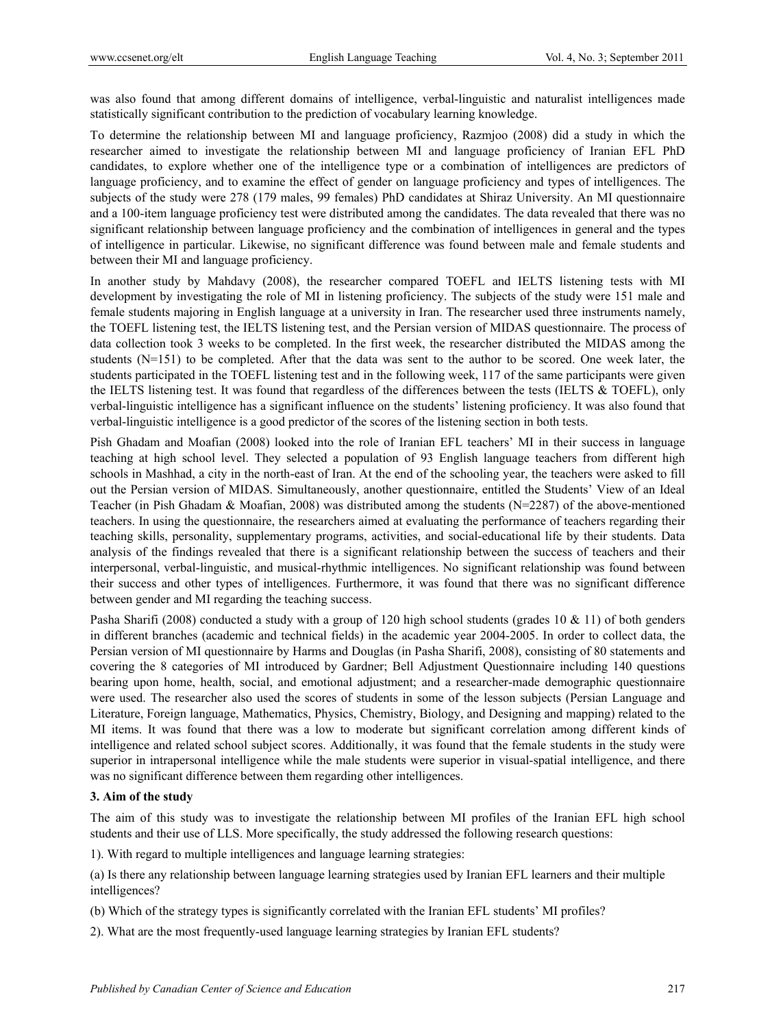was also found that among different domains of intelligence, verbal-linguistic and naturalist intelligences made statistically significant contribution to the prediction of vocabulary learning knowledge.

To determine the relationship between MI and language proficiency, Razmjoo (2008) did a study in which the researcher aimed to investigate the relationship between MI and language proficiency of Iranian EFL PhD candidates, to explore whether one of the intelligence type or a combination of intelligences are predictors of language proficiency, and to examine the effect of gender on language proficiency and types of intelligences. The subjects of the study were 278 (179 males, 99 females) PhD candidates at Shiraz University. An MI questionnaire and a 100-item language proficiency test were distributed among the candidates. The data revealed that there was no significant relationship between language proficiency and the combination of intelligences in general and the types of intelligence in particular. Likewise, no significant difference was found between male and female students and between their MI and language proficiency.

In another study by Mahdavy (2008), the researcher compared TOEFL and IELTS listening tests with MI development by investigating the role of MI in listening proficiency. The subjects of the study were 151 male and female students majoring in English language at a university in Iran. The researcher used three instruments namely, the TOEFL listening test, the IELTS listening test, and the Persian version of MIDAS questionnaire. The process of data collection took 3 weeks to be completed. In the first week, the researcher distributed the MIDAS among the students (N=151) to be completed. After that the data was sent to the author to be scored. One week later, the students participated in the TOEFL listening test and in the following week, 117 of the same participants were given the IELTS listening test. It was found that regardless of the differences between the tests (IELTS & TOEFL), only verbal-linguistic intelligence has a significant influence on the students' listening proficiency. It was also found that verbal-linguistic intelligence is a good predictor of the scores of the listening section in both tests.

Pish Ghadam and Moafian (2008) looked into the role of Iranian EFL teachers' MI in their success in language teaching at high school level. They selected a population of 93 English language teachers from different high schools in Mashhad, a city in the north-east of Iran. At the end of the schooling year, the teachers were asked to fill out the Persian version of MIDAS. Simultaneously, another questionnaire, entitled the Students' View of an Ideal Teacher (in Pish Ghadam & Moafian, 2008) was distributed among the students  $(N=2287)$  of the above-mentioned teachers. In using the questionnaire, the researchers aimed at evaluating the performance of teachers regarding their teaching skills, personality, supplementary programs, activities, and social-educational life by their students. Data analysis of the findings revealed that there is a significant relationship between the success of teachers and their interpersonal, verbal-linguistic, and musical-rhythmic intelligences. No significant relationship was found between their success and other types of intelligences. Furthermore, it was found that there was no significant difference between gender and MI regarding the teaching success.

Pasha Sharifi (2008) conducted a study with a group of 120 high school students (grades 10  $\&$  11) of both genders in different branches (academic and technical fields) in the academic year 2004-2005. In order to collect data, the Persian version of MI questionnaire by Harms and Douglas (in Pasha Sharifi, 2008), consisting of 80 statements and covering the 8 categories of MI introduced by Gardner; Bell Adjustment Questionnaire including 140 questions bearing upon home, health, social, and emotional adjustment; and a researcher-made demographic questionnaire were used. The researcher also used the scores of students in some of the lesson subjects (Persian Language and Literature, Foreign language, Mathematics, Physics, Chemistry, Biology, and Designing and mapping) related to the MI items. It was found that there was a low to moderate but significant correlation among different kinds of intelligence and related school subject scores. Additionally, it was found that the female students in the study were superior in intrapersonal intelligence while the male students were superior in visual-spatial intelligence, and there was no significant difference between them regarding other intelligences.

#### **3. Aim of the study**

The aim of this study was to investigate the relationship between MI profiles of the Iranian EFL high school students and their use of LLS. More specifically, the study addressed the following research questions:

1). With regard to multiple intelligences and language learning strategies:

(a) Is there any relationship between language learning strategies used by Iranian EFL learners and their multiple intelligences?

(b) Which of the strategy types is significantly correlated with the Iranian EFL students' MI profiles?

2). What are the most frequently-used language learning strategies by Iranian EFL students?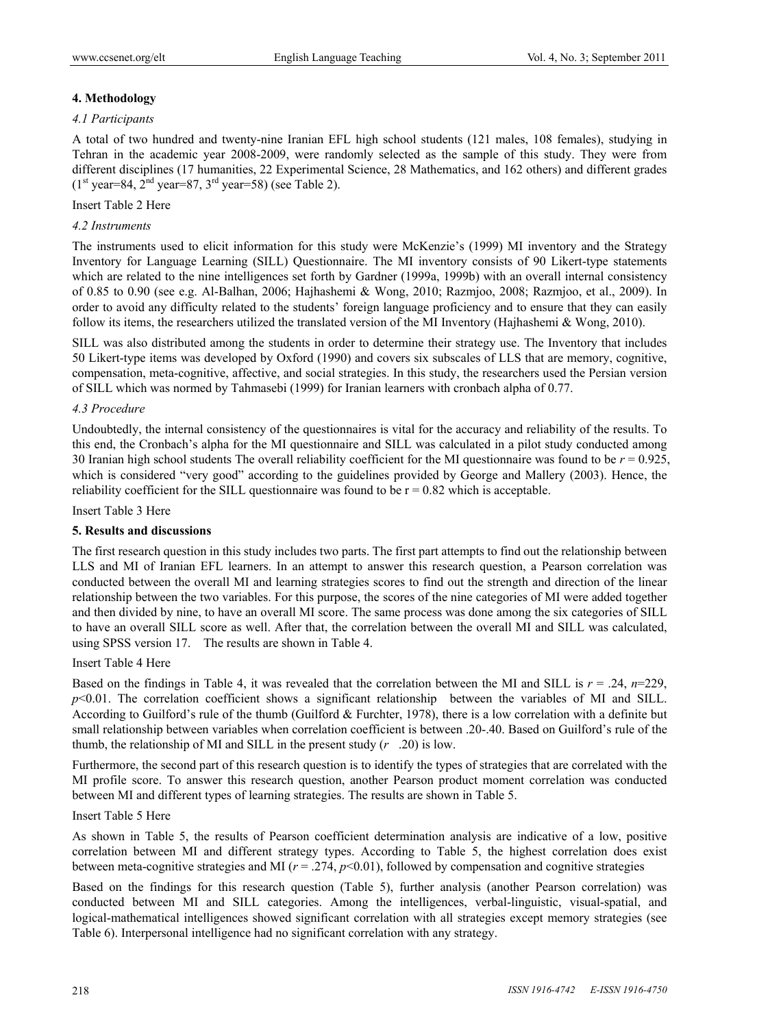## **4. Methodology**

## *4.1 Participants*

A total of two hundred and twenty-nine Iranian EFL high school students (121 males, 108 females), studying in Tehran in the academic year 2008-2009, were randomly selected as the sample of this study. They were from different disciplines (17 humanities, 22 Experimental Science, 28 Mathematics, and 162 others) and different grades  $(1^{st}$  year=84,  $2^{nd}$  year=87,  $3^{rd}$  year=58) (see Table 2).

### Insert Table 2 Here

### *4.2 Instruments*

The instruments used to elicit information for this study were McKenzie's (1999) MI inventory and the Strategy Inventory for Language Learning (SILL) Questionnaire. The MI inventory consists of 90 Likert-type statements which are related to the nine intelligences set forth by Gardner (1999a, 1999b) with an overall internal consistency of 0.85 to 0.90 (see e.g. Al-Balhan, 2006; Hajhashemi & Wong, 2010; Razmjoo, 2008; Razmjoo, et al., 2009). In order to avoid any difficulty related to the students' foreign language proficiency and to ensure that they can easily follow its items, the researchers utilized the translated version of the MI Inventory (Hajhashemi & Wong, 2010).

SILL was also distributed among the students in order to determine their strategy use. The Inventory that includes 50 Likert-type items was developed by Oxford (1990) and covers six subscales of LLS that are memory, cognitive, compensation, meta-cognitive, affective, and social strategies. In this study, the researchers used the Persian version of SILL which was normed by Tahmasebi (1999) for Iranian learners with cronbach alpha of 0.77.

#### *4.3 Procedure*

Undoubtedly, the internal consistency of the questionnaires is vital for the accuracy and reliability of the results. To this end, the Cronbach's alpha for the MI questionnaire and SILL was calculated in a pilot study conducted among 30 Iranian high school students The overall reliability coefficient for the MI questionnaire was found to be *r* = 0.925, which is considered "very good" according to the guidelines provided by George and Mallery (2003). Hence, the reliability coefficient for the SILL questionnaire was found to be  $r = 0.82$  which is acceptable.

Insert Table 3 Here

#### **5. Results and discussions**

The first research question in this study includes two parts. The first part attempts to find out the relationship between LLS and MI of Iranian EFL learners. In an attempt to answer this research question, a Pearson correlation was conducted between the overall MI and learning strategies scores to find out the strength and direction of the linear relationship between the two variables. For this purpose, the scores of the nine categories of MI were added together and then divided by nine, to have an overall MI score. The same process was done among the six categories of SILL to have an overall SILL score as well. After that, the correlation between the overall MI and SILL was calculated, using SPSS version 17. The results are shown in Table 4.

#### Insert Table 4 Here

Based on the findings in Table 4, it was revealed that the correlation between the MI and SILL is  $r = .24$ ,  $n=229$ , *p*<0.01. The correlation coefficient shows a significant relationship between the variables of MI and SILL. According to Guilford's rule of the thumb (Guilford & Furchter, 1978), there is a low correlation with a definite but small relationship between variables when correlation coefficient is between .20-.40. Based on Guilford's rule of the thumb, the relationship of MI and SILL in the present study (*r*.20) is low.

Furthermore, the second part of this research question is to identify the types of strategies that are correlated with the MI profile score. To answer this research question, another Pearson product moment correlation was conducted between MI and different types of learning strategies. The results are shown in Table 5.

#### Insert Table 5 Here

As shown in Table 5, the results of Pearson coefficient determination analysis are indicative of a low, positive correlation between MI and different strategy types. According to Table 5, the highest correlation does exist between meta-cognitive strategies and MI ( $r = .274$ ,  $p < 0.01$ ), followed by compensation and cognitive strategies

Based on the findings for this research question (Table 5), further analysis (another Pearson correlation) was conducted between MI and SILL categories. Among the intelligences, verbal-linguistic, visual-spatial, and logical-mathematical intelligences showed significant correlation with all strategies except memory strategies (see Table 6). Interpersonal intelligence had no significant correlation with any strategy.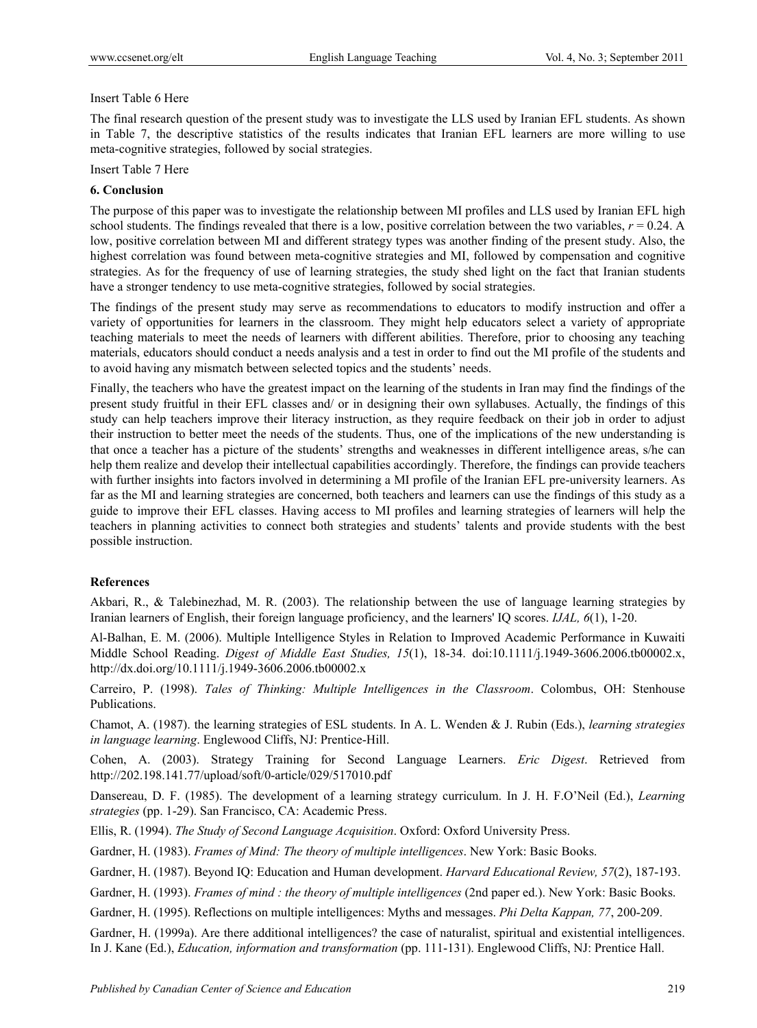### Insert Table 6 Here

The final research question of the present study was to investigate the LLS used by Iranian EFL students. As shown in Table 7, the descriptive statistics of the results indicates that Iranian EFL learners are more willing to use meta-cognitive strategies, followed by social strategies.

### Insert Table 7 Here

## **6. Conclusion**

The purpose of this paper was to investigate the relationship between MI profiles and LLS used by Iranian EFL high school students. The findings revealed that there is a low, positive correlation between the two variables, *r* = 0.24. A low, positive correlation between MI and different strategy types was another finding of the present study. Also, the highest correlation was found between meta-cognitive strategies and MI, followed by compensation and cognitive strategies. As for the frequency of use of learning strategies, the study shed light on the fact that Iranian students have a stronger tendency to use meta-cognitive strategies, followed by social strategies.

The findings of the present study may serve as recommendations to educators to modify instruction and offer a variety of opportunities for learners in the classroom. They might help educators select a variety of appropriate teaching materials to meet the needs of learners with different abilities. Therefore, prior to choosing any teaching materials, educators should conduct a needs analysis and a test in order to find out the MI profile of the students and to avoid having any mismatch between selected topics and the students' needs.

Finally, the teachers who have the greatest impact on the learning of the students in Iran may find the findings of the present study fruitful in their EFL classes and/ or in designing their own syllabuses. Actually, the findings of this study can help teachers improve their literacy instruction, as they require feedback on their job in order to adjust their instruction to better meet the needs of the students. Thus, one of the implications of the new understanding is that once a teacher has a picture of the students' strengths and weaknesses in different intelligence areas, s/he can help them realize and develop their intellectual capabilities accordingly. Therefore, the findings can provide teachers with further insights into factors involved in determining a MI profile of the Iranian EFL pre-university learners. As far as the MI and learning strategies are concerned, both teachers and learners can use the findings of this study as a guide to improve their EFL classes. Having access to MI profiles and learning strategies of learners will help the teachers in planning activities to connect both strategies and students' talents and provide students with the best possible instruction.

# **References**

Akbari, R., & Talebinezhad, M. R. (2003). The relationship between the use of language learning strategies by Iranian learners of English, their foreign language proficiency, and the learners' IQ scores. *IJAL, 6*(1), 1-20.

Al-Balhan, E. M. (2006). Multiple Intelligence Styles in Relation to Improved Academic Performance in Kuwaiti Middle School Reading. *Digest of Middle East Studies, 15*(1), 18-34. doi:10.1111/j.1949-3606.2006.tb00002.x, http://dx.doi.org/10.1111/j.1949-3606.2006.tb00002.x

Carreiro, P. (1998). *Tales of Thinking: Multiple Intelligences in the Classroom*. Colombus, OH: Stenhouse Publications.

Chamot, A. (1987). the learning strategies of ESL students. In A. L. Wenden & J. Rubin (Eds.), *learning strategies in language learning*. Englewood Cliffs, NJ: Prentice-Hill.

Cohen, A. (2003). Strategy Training for Second Language Learners. *Eric Digest*. Retrieved from http://202.198.141.77/upload/soft/0-article/029/517010.pdf

Dansereau, D. F. (1985). The development of a learning strategy curriculum. In J. H. F.O'Neil (Ed.), *Learning strategies* (pp. 1-29). San Francisco, CA: Academic Press.

Ellis, R. (1994). *The Study of Second Language Acquisition*. Oxford: Oxford University Press.

Gardner, H. (1983). *Frames of Mind: The theory of multiple intelligences*. New York: Basic Books.

Gardner, H. (1987). Beyond IQ: Education and Human development. *Harvard Educational Review, 57*(2), 187-193.

Gardner, H. (1993). *Frames of mind : the theory of multiple intelligences* (2nd paper ed.). New York: Basic Books.

Gardner, H. (1995). Reflections on multiple intelligences: Myths and messages. *Phi Delta Kappan, 77*, 200-209.

Gardner, H. (1999a). Are there additional intelligences? the case of naturalist, spiritual and existential intelligences. In J. Kane (Ed.), *Education, information and transformation* (pp. 111-131). Englewood Cliffs, NJ: Prentice Hall.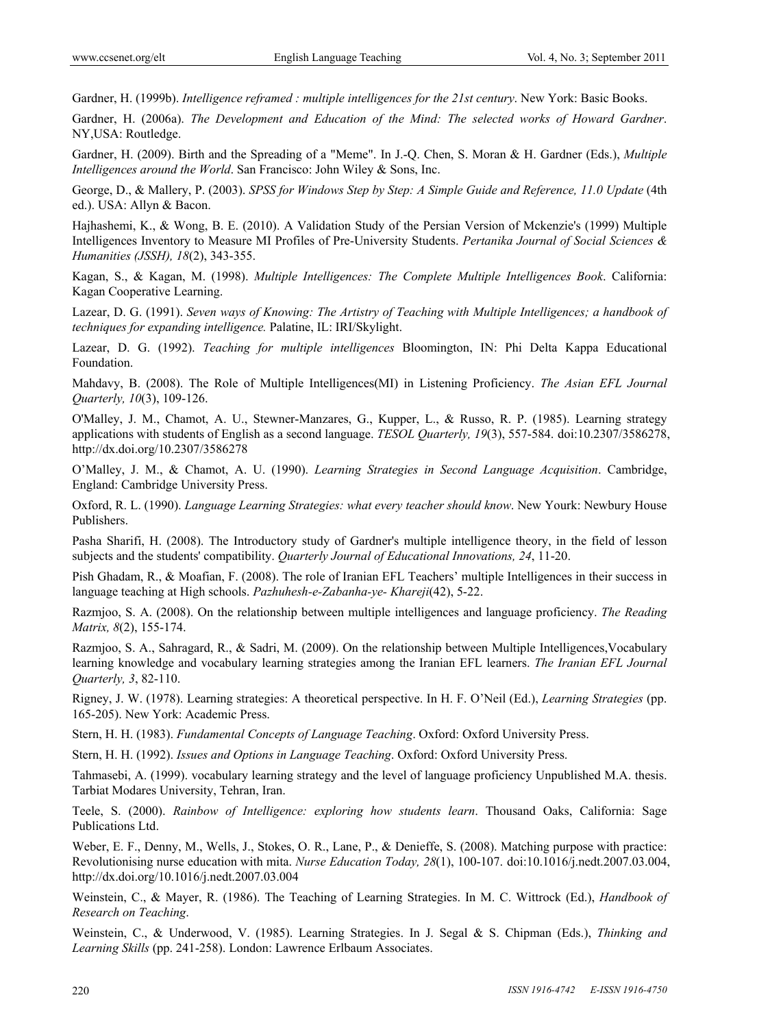Gardner, H. (1999b). *Intelligence reframed : multiple intelligences for the 21st century*. New York: Basic Books.

Gardner, H. (2006a). *The Development and Education of the Mind: The selected works of Howard Gardner*. NY,USA: Routledge.

Gardner, H. (2009). Birth and the Spreading of a "Meme". In J.-Q. Chen, S. Moran & H. Gardner (Eds.), *Multiple Intelligences around the World*. San Francisco: John Wiley & Sons, Inc.

George, D., & Mallery, P. (2003). *SPSS for Windows Step by Step: A Simple Guide and Reference, 11.0 Update* (4th ed.). USA: Allyn & Bacon.

Hajhashemi, K., & Wong, B. E. (2010). A Validation Study of the Persian Version of Mckenzie's (1999) Multiple Intelligences Inventory to Measure MI Profiles of Pre-University Students. *Pertanika Journal of Social Sciences & Humanities (JSSH), 18*(2), 343-355.

Kagan, S., & Kagan, M. (1998). *Multiple Intelligences: The Complete Multiple Intelligences Book*. California: Kagan Cooperative Learning.

Lazear, D. G. (1991). *Seven ways of Knowing: The Artistry of Teaching with Multiple Intelligences; a handbook of techniques for expanding intelligence.* Palatine, IL: IRI/Skylight.

Lazear, D. G. (1992). *Teaching for multiple intelligences* Bloomington, IN: Phi Delta Kappa Educational Foundation.

Mahdavy, B. (2008). The Role of Multiple Intelligences(MI) in Listening Proficiency. *The Asian EFL Journal Quarterly, 10*(3), 109-126.

O'Malley, J. M., Chamot, A. U., Stewner-Manzares, G., Kupper, L., & Russo, R. P. (1985). Learning strategy applications with students of English as a second language. *TESOL Quarterly, 19*(3), 557-584. doi:10.2307/3586278, http://dx.doi.org/10.2307/3586278

O'Malley, J. M., & Chamot, A. U. (1990). *Learning Strategies in Second Language Acquisition*. Cambridge, England: Cambridge University Press.

Oxford, R. L. (1990). *Language Learning Strategies: what every teacher should know*. New Yourk: Newbury House Publishers.

Pasha Sharifi, H. (2008). The Introductory study of Gardner's multiple intelligence theory, in the field of lesson subjects and the students' compatibility. *Quarterly Journal of Educational Innovations, 24*, 11-20.

Pish Ghadam, R., & Moafian, F. (2008). The role of Iranian EFL Teachers' multiple Intelligences in their success in language teaching at High schools. *Pazhuhesh-e-Zabanha-ye- Khareji*(42), 5-22.

Razmjoo, S. A. (2008). On the relationship between multiple intelligences and language proficiency. *The Reading Matrix, 8*(2), 155-174.

Razmjoo, S. A., Sahragard, R., & Sadri, M. (2009). On the relationship between Multiple Intelligences,Vocabulary learning knowledge and vocabulary learning strategies among the Iranian EFL learners. *The Iranian EFL Journal Quarterly, 3*, 82-110.

Rigney, J. W. (1978). Learning strategies: A theoretical perspective. In H. F. O'Neil (Ed.), *Learning Strategies* (pp. 165-205). New York: Academic Press.

Stern, H. H. (1983). *Fundamental Concepts of Language Teaching*. Oxford: Oxford University Press.

Stern, H. H. (1992). *Issues and Options in Language Teaching*. Oxford: Oxford University Press.

Tahmasebi, A. (1999). vocabulary learning strategy and the level of language proficiency Unpublished M.A. thesis. Tarbiat Modares University, Tehran, Iran.

Teele, S. (2000). *Rainbow of Intelligence: exploring how students learn*. Thousand Oaks, California: Sage Publications Ltd.

Weber, E. F., Denny, M., Wells, J., Stokes, O. R., Lane, P., & Denieffe, S. (2008). Matching purpose with practice: Revolutionising nurse education with mita. *Nurse Education Today, 28*(1), 100-107. doi:10.1016/j.nedt.2007.03.004, http://dx.doi.org/10.1016/j.nedt.2007.03.004

Weinstein, C., & Mayer, R. (1986). The Teaching of Learning Strategies. In M. C. Wittrock (Ed.), *Handbook of Research on Teaching*.

Weinstein, C., & Underwood, V. (1985). Learning Strategies. In J. Segal & S. Chipman (Eds.), *Thinking and Learning Skills* (pp. 241-258). London: Lawrence Erlbaum Associates.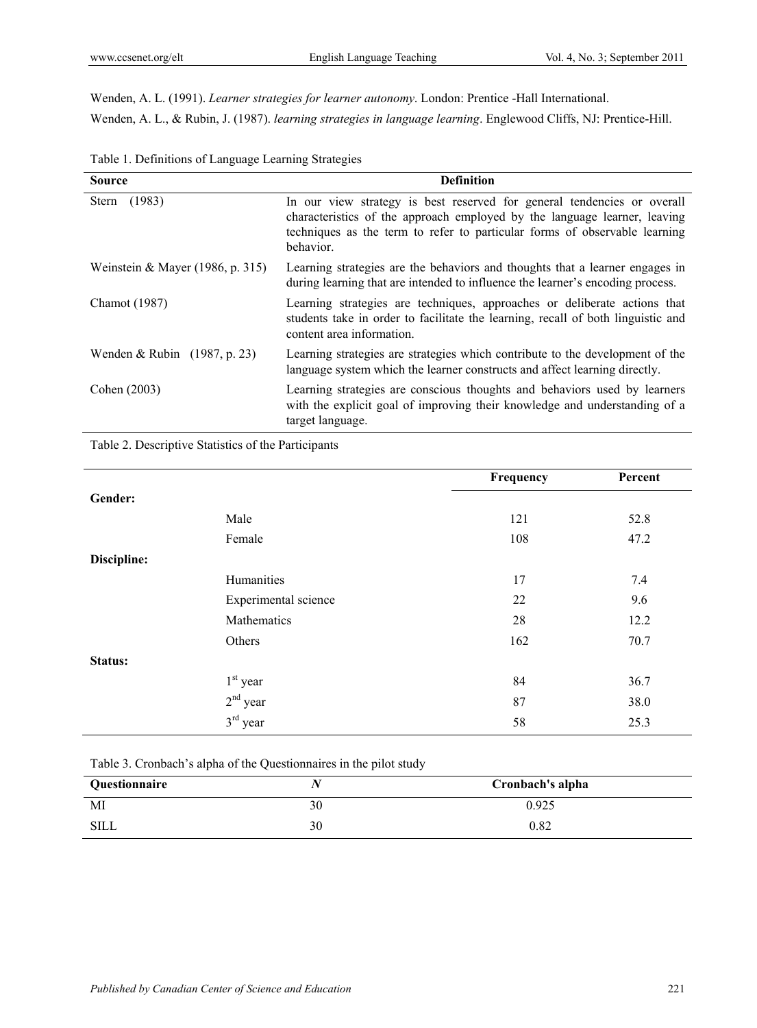Wenden, A. L. (1991). *Learner strategies for learner autonomy*. London: Prentice -Hall International. Wenden, A. L., & Rubin, J. (1987). *learning strategies in language learning*. Englewood Cliffs, NJ: Prentice-Hill.

| <b>Source</b>                      | <b>Definition</b>                                                                                                                                                                                                                               |
|------------------------------------|-------------------------------------------------------------------------------------------------------------------------------------------------------------------------------------------------------------------------------------------------|
| (1983)<br><b>Stern</b>             | In our view strategy is best reserved for general tendencies or overall<br>characteristics of the approach employed by the language learner, leaving<br>techniques as the term to refer to particular forms of observable learning<br>behavior. |
| Weinstein & Mayer $(1986, p. 315)$ | Learning strategies are the behaviors and thoughts that a learner engages in<br>during learning that are intended to influence the learner's encoding process.                                                                                  |
| Chamot (1987)                      | Learning strategies are techniques, approaches or deliberate actions that<br>students take in order to facilitate the learning, recall of both linguistic and<br>content area information.                                                      |
| Wenden & Rubin $(1987, p. 23)$     | Learning strategies are strategies which contribute to the development of the<br>language system which the learner constructs and affect learning directly.                                                                                     |
| Cohen (2003)                       | Learning strategies are conscious thoughts and behaviors used by learners<br>with the explicit goal of improving their knowledge and understanding of a<br>target language.                                                                     |

Table 1. Definitions of Language Learning Strategies

Table 2. Descriptive Statistics of the Participants

|             |                      | Frequency | Percent |
|-------------|----------------------|-----------|---------|
| Gender:     |                      |           |         |
|             | Male                 | 121       | 52.8    |
|             | Female               | 108       | 47.2    |
| Discipline: |                      |           |         |
|             | Humanities           | 17        | 7.4     |
|             | Experimental science | 22        | 9.6     |
|             | Mathematics          | 28        | 12.2    |
|             | Others               | 162       | 70.7    |
| Status:     |                      |           |         |
|             | $1st$ year           | 84        | 36.7    |
|             | $2nd$ year           | 87        | 38.0    |
|             | $3rd$ year           | 58        | 25.3    |

Table 3. Cronbach's alpha of the Questionnaires in the pilot study

| Questionnaire | $\bm{N}$ | Cronbach's alpha |
|---------------|----------|------------------|
| MI            | 30       | 0.925            |
| <b>SILL</b>   | 30       | 0.82             |